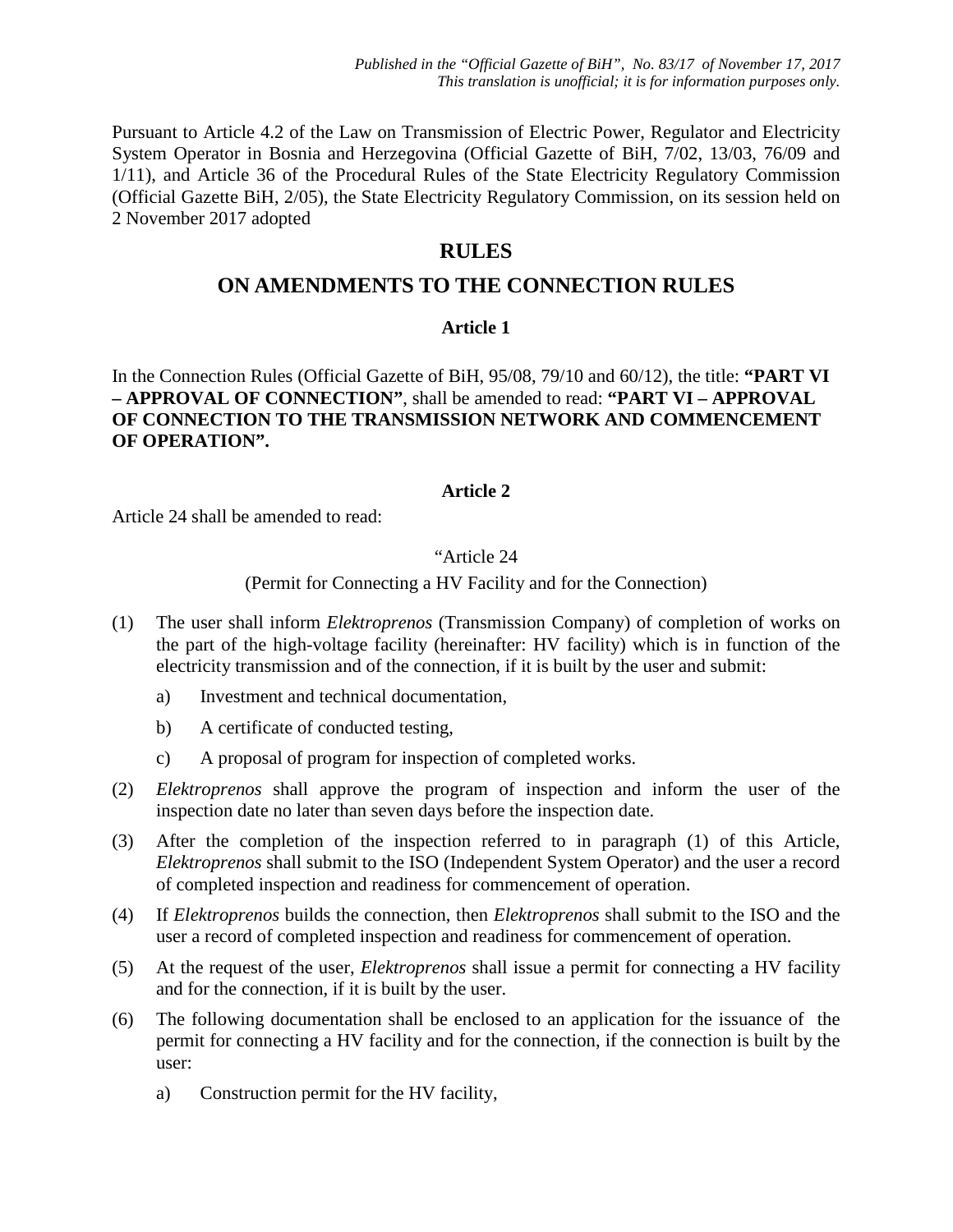Pursuant to Article 4.2 of the Law on Transmission of Electric Power, Regulator and Electricity System Operator in Bosnia and Herzegovina (Official Gazette of BiH, 7/02, 13/03, 76/09 and 1/11), and Article 36 of the Procedural Rules of the State Electricity Regulatory Commission (Official Gazette BiH, 2/05), the State Electricity Regulatory Commission, on its session held on 2 November 2017 adopted

# **RULES**

# **ON AMENDMENTS TO THE CONNECTION RULES**

## **Article 1**

In the Connection Rules (Official Gazette of BiH, 95/08, 79/10 and 60/12), the title: **"PART VI – APPROVAL OF CONNECTION"**, shall be amended to read: **"PART VI – APPROVAL OF CONNECTION TO THE TRANSMISSION NETWORK AND COMMENCEMENT OF OPERATION".** 

### **Article 2**

Article 24 shall be amended to read:

### "Article 24

### (Permit for Connecting a HV Facility and for the Connection)

- (1) The user shall inform *Elektroprenos* (Transmission Company) of completion of works on the part of the high-voltage facility (hereinafter: HV facility) which is in function of the electricity transmission and of the connection, if it is built by the user and submit:
	- a) Investment and technical documentation,
	- b) A certificate of conducted testing,
	- c) A proposal of program for inspection of completed works.
- (2) *Elektroprenos* shall approve the program of inspection and inform the user of the inspection date no later than seven days before the inspection date.
- (3) After the completion of the inspection referred to in paragraph (1) of this Article, *Elektroprenos* shall submit to the ISO (Independent System Operator) and the user a record of completed inspection and readiness for commencement of operation.
- (4) If *Elektroprenos* builds the connection, then *Elektroprenos* shall submit to the ISO and the user a record of completed inspection and readiness for commencement of operation.
- (5) At the request of the user, *Elektroprenos* shall issue a permit for connecting a HV facility and for the connection, if it is built by the user.
- (6) The following documentation shall be enclosed to an application for the issuance of the permit for connecting a HV facility and for the connection, if the connection is built by the user:
	- a) Construction permit for the HV facility,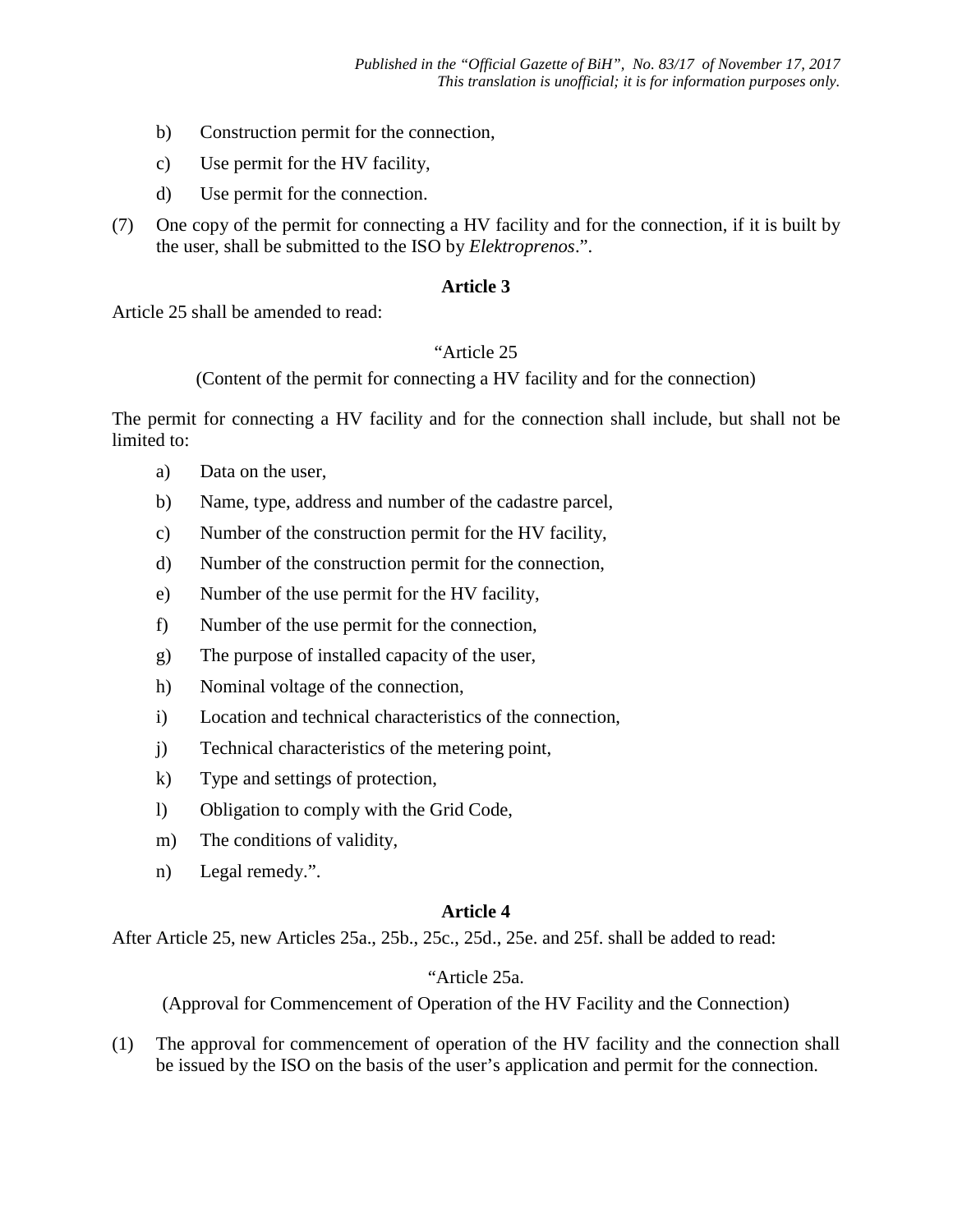- b) Construction permit for the connection,
- c) Use permit for the HV facility,
- d) Use permit for the connection.
- (7) One copy of the permit for connecting a HV facility and for the connection, if it is built by the user, shall be submitted to the ISO by *Elektroprenos*.".

### **Article 3**

Article 25 shall be amended to read:

### "Article 25

(Content of the permit for connecting a HV facility and for the connection)

The permit for connecting a HV facility and for the connection shall include, but shall not be limited to:

- a) Data on the user,
- b) Name, type, address and number of the cadastre parcel,
- c) Number of the construction permit for the HV facility,
- d) Number of the construction permit for the connection,
- e) Number of the use permit for the HV facility,
- f) Number of the use permit for the connection,
- g) The purpose of installed capacity of the user,
- h) Nominal voltage of the connection,
- i) Location and technical characteristics of the connection,
- j) Technical characteristics of the metering point,
- k) Type and settings of protection,
- l) Obligation to comply with the Grid Code,
- m) The conditions of validity,
- n) Legal remedy.".

### **Article 4**

After Article 25, new Articles 25a., 25b., 25c., 25d., 25e. and 25f. shall be added to read:

## "Article 25a.

(Approval for Commencement of Operation of the HV Facility and the Connection)

(1) The approval for commencement of operation of the HV facility and the connection shall be issued by the ISO on the basis of the user's application and permit for the connection.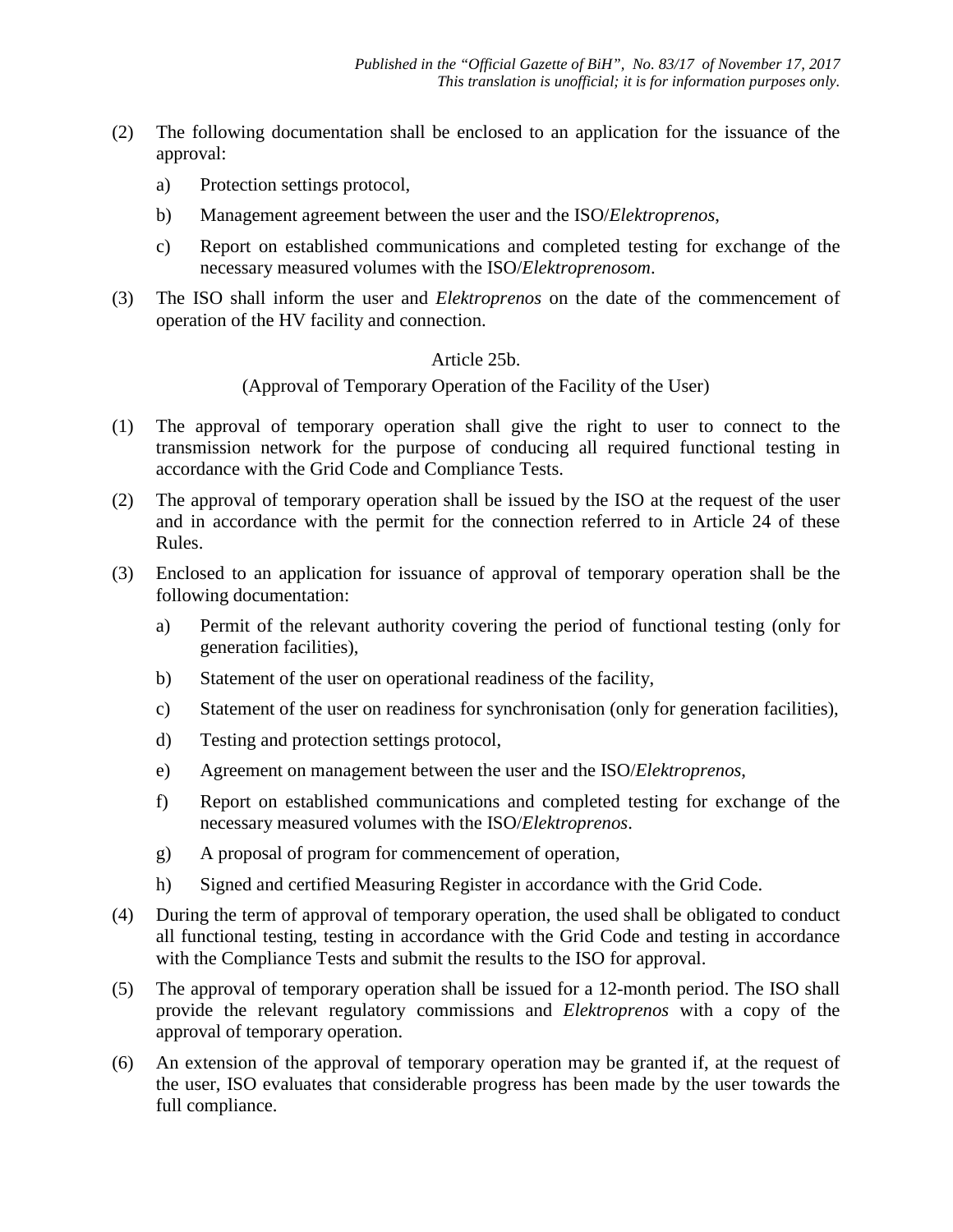- (2) The following documentation shall be enclosed to an application for the issuance of the approval:
	- a) Protection settings protocol,
	- b) Management agreement between the user and the ISO/*Elektroprenos*,
	- c) Report on established communications and completed testing for exchange of the necessary measured volumes with the ISO/*Elektroprenosom*.
- (3) The ISO shall inform the user and *Elektroprenos* on the date of the commencement of operation of the HV facility and connection.

### Article 25b.

(Approval of Temporary Operation of the Facility of the User)

- (1) The approval of temporary operation shall give the right to user to connect to the transmission network for the purpose of conducing all required functional testing in accordance with the Grid Code and Compliance Tests.
- (2) The approval of temporary operation shall be issued by the ISO at the request of the user and in accordance with the permit for the connection referred to in Article 24 of these Rules.
- (3) Enclosed to an application for issuance of approval of temporary operation shall be the following documentation:
	- a) Permit of the relevant authority covering the period of functional testing (only for generation facilities),
	- b) Statement of the user on operational readiness of the facility,
	- c) Statement of the user on readiness for synchronisation (only for generation facilities),
	- d) Testing and protection settings protocol,
	- e) Agreement on management between the user and the ISO/*Elektroprenos*,
	- f) Report on established communications and completed testing for exchange of the necessary measured volumes with the ISO/*Elektroprenos*.
	- g) A proposal of program for commencement of operation,
	- h) Signed and certified Measuring Register in accordance with the Grid Code.
- (4) During the term of approval of temporary operation, the used shall be obligated to conduct all functional testing, testing in accordance with the Grid Code and testing in accordance with the Compliance Tests and submit the results to the ISO for approval.
- (5) The approval of temporary operation shall be issued for a 12-month period. The ISO shall provide the relevant regulatory commissions and *Elektroprenos* with a copy of the approval of temporary operation.
- (6) An extension of the approval of temporary operation may be granted if, at the request of the user, ISO evaluates that considerable progress has been made by the user towards the full compliance.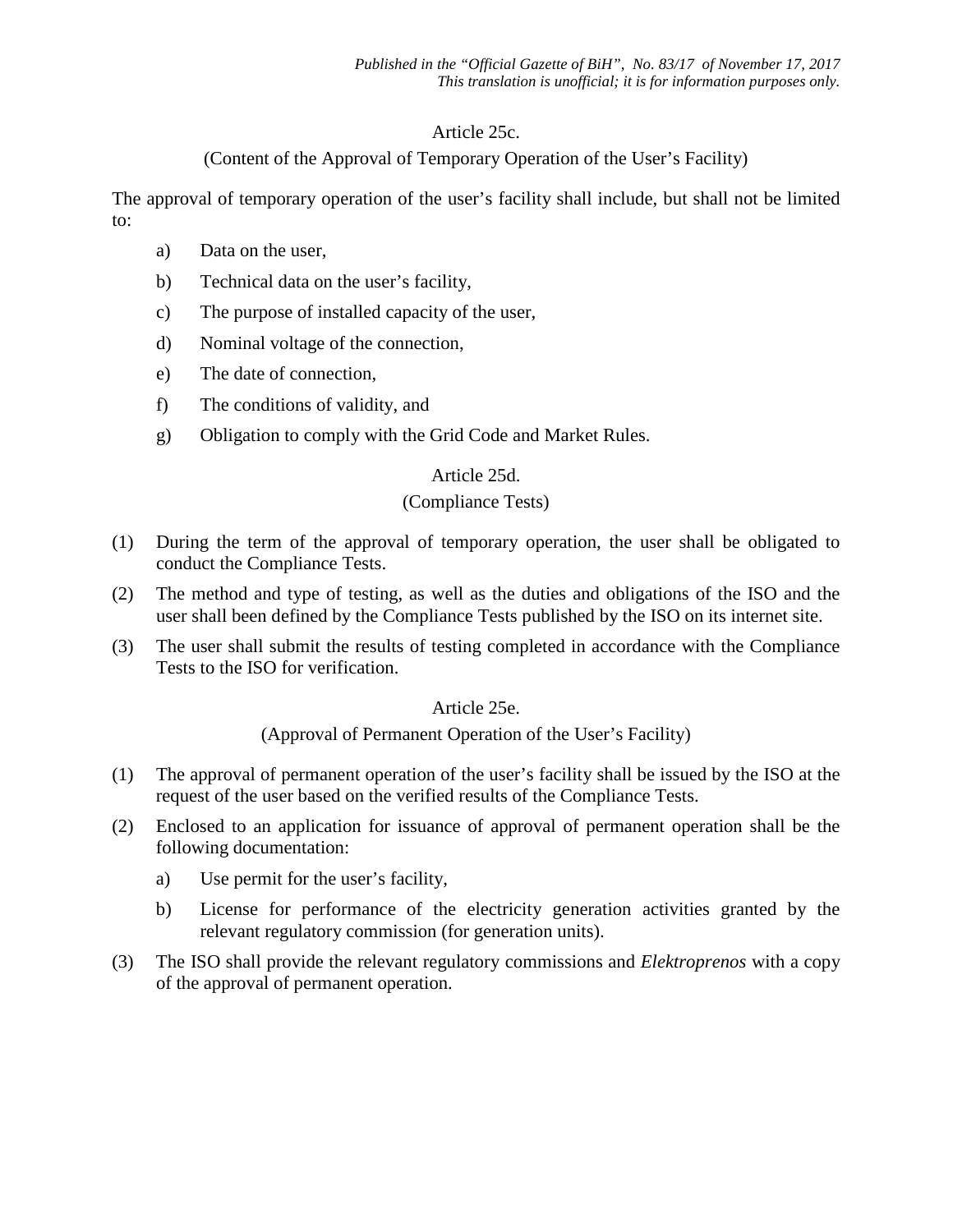## Article 25c.

## (Content of the Approval of Temporary Operation of the User's Facility)

The approval of temporary operation of the user's facility shall include, but shall not be limited to:

- a) Data on the user,
- b) Technical data on the user's facility,
- c) The purpose of installed capacity of the user,
- d) Nominal voltage of the connection,
- e) The date of connection,
- f) The conditions of validity, and
- g) Obligation to comply with the Grid Code and Market Rules.

### Article 25d.

### (Compliance Tests)

- (1) During the term of the approval of temporary operation, the user shall be obligated to conduct the Compliance Tests.
- (2) The method and type of testing, as well as the duties and obligations of the ISO and the user shall been defined by the Compliance Tests published by the ISO on its internet site.
- (3) The user shall submit the results of testing completed in accordance with the Compliance Tests to the ISO for verification.

### Article 25e.

(Approval of Permanent Operation of the User's Facility)

- (1) The approval of permanent operation of the user's facility shall be issued by the ISO at the request of the user based on the verified results of the Compliance Tests.
- (2) Enclosed to an application for issuance of approval of permanent operation shall be the following documentation:
	- a) Use permit for the user's facility,
	- b) License for performance of the electricity generation activities granted by the relevant regulatory commission (for generation units).
- (3) The ISO shall provide the relevant regulatory commissions and *Elektroprenos* with a copy of the approval of permanent operation.